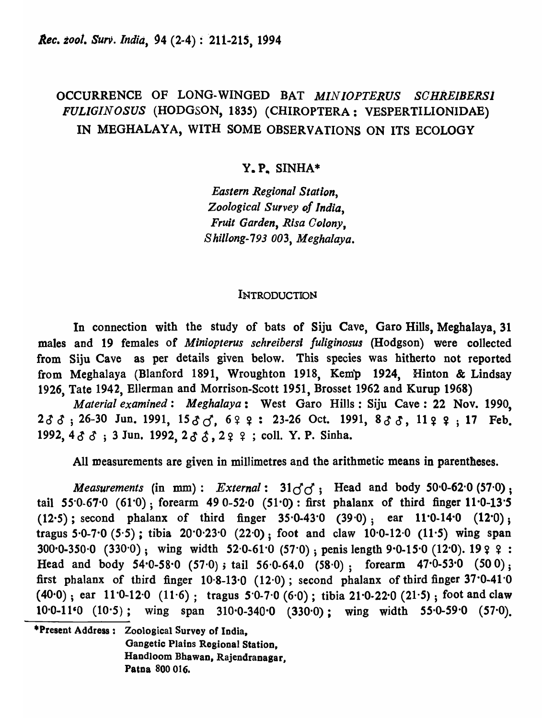# OCCURRENCE OF LONG-WINGED BAT *MINIOPTERUS SCHREIBERSl FULIGINOSUS* (HODGSON, 1835) (CHIROPTERA: VESPERTILIONIDAE) IN MEGHALAYA, WITH SOME OBSERVATIONS ON ITS ECOLOGY

# Y.P. SINHA\*

*Eastern Regional Station, Zoological Survey of India, Fruit Garden, Risa Colony, Shillong-793 003, Meghalaya.* 

## **INTRODUCTION**

In connection with the study of bats of Siju Cave, Garo Hills, Meghalaya, 31 males and 19 females of *Miniopterus schreibersi fUliginosus* (Hodgson) were collected from Siju Cave as per details given below\_This species was hitherto not reported from Meghalaya (Blanford 1891, Wroughton 1918, Kemp 1924, Hinton & Lindsay 1926, Tate 1942, Ellerman and Morrison-Scott 1951, Brosset 1962 and Kurup 1968)

*Material examined: Meghalaya:* West Garo Hills: Siju Cave: 22 Nov. 1990,  $2\delta\delta$ ; 26-30 Jun. 1991,  $15\delta\delta$ , 6  $2$   $2$  : 23-26 Oct. 1991,  $8\delta\delta$ , 11  $2$   $2$ ; 17 Feb. 1992,  $4 \delta \delta$ ; 3 Jun. 1992,  $2 \delta \delta$ ,  $2 \delta$   $\epsilon$ ; coll. Y. P. Sinha.

All measurements are given in millimetres and the arithmetic means in parentheses.

*Measurements* (in mm): *External*:  $31\sigma_0^2$ ; Head and body 50.0-62.0 (57.0); tail *55-0-67'0* (61-0); forearm 49 0-52-0 (51·0): first phalanx of third finger 11-0-13·5 (12.5); second phalanx of third finger  $35.0-43.0$  (39.0); ear 11.0.14.0 (12.0); tragus 5·0-7·0 (5'5) ; tibia 20-0'23'0 (22'0); foot and claw 10-0-12-0 *(11-5)* wing span  $300 \cdot 0.350 \cdot 0$  (330 $\cdot 0$ ); wing width 52 $\cdot 0.61 \cdot 0$  (57 $\cdot 0$ ); penis length 9 $\cdot 0.15 \cdot 0$  (12 $\cdot 0$ ). 19  $\circ$   $\circ$ : Head and body  $54.0-58.0$   $(57.0)$ ; tail  $56.0-64.0$   $(58.0)$ ; forearm  $47.0-53.0$   $(50.0)$ ; first phalanx of third finger  $10.8-13.0$  (12.0); second phalanx of third finger 37.0-41.0 (40·0) ; ear 11-0-12-0 (11'6); tragus 5'0-7'0 (6-0); tibia 21·0-22·0 *(21-S)* ; foot and claw  $10.0-11$ <sup>o</sup>  $(10.5)$ ; wing span 310.0-340.0  $(330.0)$ ; wing width 55.0-59.0  $(57.0)$ .

·Present Address: Zoological Survey of India, Gangetic Plains Regional Station, Handloom Bhawan, Rajendranagar, Patna 800 016.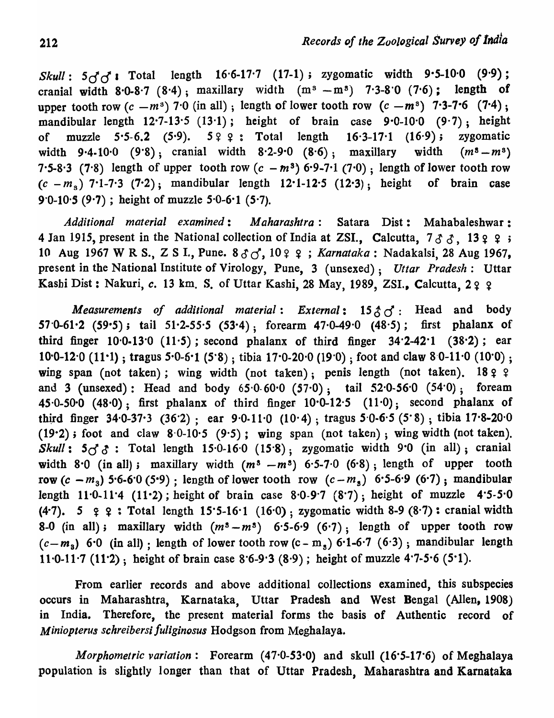Skull:  $5\sigma$ <sup>1</sup> **I** Total length 16.6-17.7 (17-1); zygomatic width 9.5-10.0 (9.9); cranial width  $8.0-8.7$  ( $8.4$ ); maxillary width  $(m<sup>3</sup> - m<sup>3</sup>)$  7.3-8.0 ( $7.6$ ); length of upper tooth row  $(c - m<sup>3</sup>)$  7<sup>.</sup>0 (in all); length of lower tooth row  $(c - m<sup>3</sup>)$  7<sup>.</sup>3-7<sup>.</sup>6 (7<sup>.</sup>4); mandibular length  $12.7-13.5$  (13.1); height of brain case  $9.0-10.0$  (9.7); height of muzzle  $5.5-6.2$  (5.9).  $5.9 \div 5.2$  Total length  $16.3-17.1$  (16.9); zygomatic width 9.4-10.0 (9.8); cranial width 8.2-9.0 (8.6); maxillary width  $(m^2 - m^3)$ 7.5-8.3 (7.8) length of upper tooth row  $(c - m^3)$  6.9-7.1 (7.0); length of lower tooth row  $(c - m<sub>s</sub>)$  7.1-7.3 (7.2); mandibular length 12.1-12.5 (12.3); height of brain case 9'0-10'S (9-7) ; height of muzzle 5'0-6-1 (5-7).

*Additional material examined: M aharashtra:* Satara Dist: Mahabaleshwar: 4 Jan 1915, present in the National collection of India at ZSI., Calcutta,  $733$ , 13  $9$   $9$ ; 10 Aug 1967 W R S., Z S I., Pune\_ S d d, 10 ~ ~ ; *Karnataka:* Nadakalsi, 28 Aug 1967, present in the National Institute of Virology, Pune, 3 (unsexed); *Uttar Pradesh:* Uttar Kashi Dist: Nakuri, *c.* 13 km. S. of Uttar Kashi, 28 May, 1989, ZSI., Calcutta, 2 9 9

*Measurements of additional material: External:*  $15 \land \sigma$ : Head and body 57.0-61.2 (59.5); tail 51.2-55.5 (53.4); forearm  $47.0-49.0$  (48.5); first phalanx of third finger 10'0·13'0 *(11'5);* second phalanx of third finger 34'2-42'1 (38'2); ear 10.0-12.0 (11.1); tragus 5.0-6.1 (5.8); tibia 17.0-20.0 (19.0); foot and claw  $8.0-11.0$  (10.0); wing span (not taken); wing width (not taken); penis length (not taken).  $1899$ and 3 (unsexed): Head and body  $65.0.60.0$   $(57.0)$ ; tail  $52.0.56.0$   $(54.0)$ ; foream 45.0-50.0 (48.0): first phalanx of third finger  $10.0-12.5$  (11.0); second phalanx of third finger 34.0-37.3 (36.2); ear 9.0.11.0 (10.4); tragus 5.0.6.5 (5.8); tibia 17.8-20.0 (19-2) ; foot and claw *8,0-10'5* (9'5); wing span (not taken) ; wing width (not taken), Skull:  $50<sup>2</sup>$   $3$ : Total length 15.0-16.0 (15.8); zygomatic width 9.0 (in all); cranial width 8.0 (in all); maxillary width  $(m^3 - m^3)$  6.5-7.0 (6.8); length of upper tooth row  $(c - m_3)$  5.6-6.0 (5.9) : length of lower tooth row  $(c - m_3)$  6.5-6.9 (6.7); mandibular length  $11.0-11.4$  (11.2); height of brain case  $8.0-9.7$  ( $8.7$ ); height of muzzle 4.5-5.0 (4.7). 5  $\varphi$  ? : Total length 15.5-16.1 (16.0); zygomatic width 8-9 (8.7): cranial width 8-0 (in all); maxillary width  $(m^3 - m^3)$  6.5-6.9 (6.7); length of upper tooth row  $(c-m<sub>3</sub>)$  6.0 (in all) ; length of lower tooth row  $(c-m<sub>3</sub>)$  6.1-6.7 (6.3); mandibular length  $11·0·11·7$  (11·2); height of brain case 8<sup>.6</sup>-9<sup>.</sup>3 (8<sup>.9</sup>); height of muzzle 4.7<sup>-5·6</sup> (5<sup>.</sup>1).

From earlier records and above additional collections examined, this subspecies occurs in Maharashtra, Karnataka, Uttar Pradesh and West Bengal (Allen, 1908) in India. Therefore, the present material forms the basis of Authentic record of *Miniopterus schreibersi /uliginosus* Hodgson from Meghalaya.

*Morphometric variation:* Forearm (47'0-53-0) and skull *(16'5-17'6)* of Meghalaya population is slightly longer than that of Uttar Pradesh, Maharashtra and Karnataka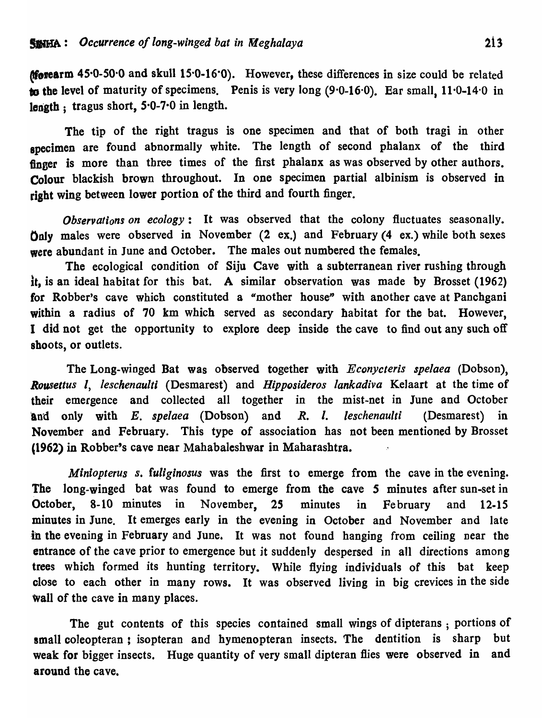**Morearm 45.0-50.0 and skull 15.0-16.0).** However, these differences in size could be related to the level of maturity of specimens. Penis is very long  $(9.0-16.0)$ . Ear small,  $11.0-14.0$  in length; tragus short,  $5.0-7.0$  in length.

The tip of the right tragus is one specimen and that of both tragi in other specimen are found abnormally white. The length of second phalanx of the third finger is more than three times of the first phalanx as was observed by other authors. Colour blackish brown throughout. In one specimen partial albinism is observed in right wing between lower portion of the third and fourth finger.

*Observations on ecology:* It was observed that the colony fluctuates seasonally. Only males were observed in November (2 ex.) and February (4 ex.) while both sexes were abundant in June and October. The males out numbered the females.

The ecological condition of Siju Cave with a subterranean river rushing through it, is an ideal habitat for this bat. A similar observation was made by Brosset (1962) for Robber's cave which constituted a "mother house" with another cave at Panchgani within a radius of 70 km which served as secondary habitat for the bat. However, I did not get the opportunity to explore deep inside the cave to find out any such off shoots, or outlets.

The Long-winged Bat was observed together with *Econycteris spe/aea* (Dobson), *Rousettus I, leschenaulti* (Desmarest) and *HipPQsideros lankadiva* KeJaart at the time of their emergence and collected all together in the mist-net in June and October land only with *E. spelaea* (Dobson) and *R. I. leschenaulti* (Desmarest) in November and February. This type of association has not been mentioned by Brosset ,1962) in Robber's cave near Mahabalcshwar in Maharashtra.

*Miniopterus s. fuliginosus* was the first to emerge from the cave in the evening. The long-winged bat was found to emerge from the cave *S* minutes after sun-set in October, 8-10 minutes in November, *2S* minutes in February and 12-15 minutes in June. It emerges early in the evening in October and November and late in the evening in February and June. It was not found hanging from ceiling near the entrance of the cave prior to emergence but *it* suddenly despersed in all directions among trees which formed its hunting territory. While flying individuals of this bat keep close to each other in many rows. It was observed living in big crevices in the side wall of the cave in many places.

The gut contents of this species contained small wings of dipterans; portions of small coleopteran: isopteran and hymenopteran insects. The dentition is sharp but weak for bigger insects. Huge quantity of very small dipteran flies were observed in and around the cave.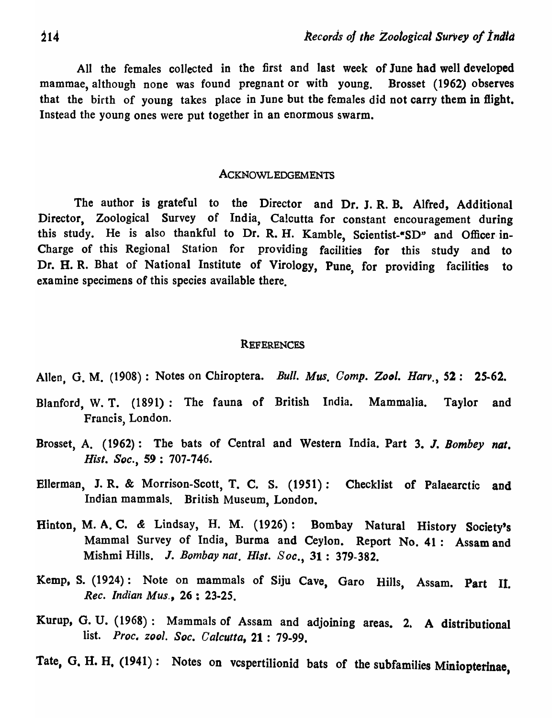All the females collected in the first and last week of June had well developed mammae, although none was found pregnant or with young. Brosset (1962) observes that the birth of young takes place in June but the females did not carry them in flight. Instead the young ones were put together in an enormous swarm.

#### ACKNOWLEDGEMENTS

The author is grateful to the Director and Dr. J. R. B. Alfred, Additional Director, Zoological Survey of India, Calcutta for constant encouragement during this study. He is also thankful to Dr. R. H. Kamble, Scientist-"SD" and Officer in-Charge of this Regional Station for providing facilities for this study and to Dr. H. R. Bhat of National Institute of Virology, Pune, for providing facilities to examine specimens of this species available there.

### REFERENCES

Allen, G. M. (1908) : Notes on Chiroptera. *Bull. Mus. Comp. Zool. Harv.,* 52: 25-62.

- Blanford, W. T. (1891): The fauna of British India. Mammalia. Taylor and Francis, London.
- Brosset, A. (1962): The bats of Central and Western India. Part 3. J. *Bombey nat.*  Hisl. *Soc.,* S9 : 707-746.
- Ellerman, J. R. & Morrison-Scott, T. C. S. (1951): Checklist of Palaearctic and Indian mammals. British Museum, London.
- Hinton, M. A. C. & Lindsay, H. M. (1926): Bombay Natural History Society's Mammal Survey of India, Burma and Ceylon. Report No. 41: Assam and Mishmi Hills. J. *Bombay nat. Hisi. Soc.,* 31: 379-382.
- Kemp, S. (1924): Note on mammals of Siju Cave, Garo Hills, Assam. Part II. *Rec. Indian Mus.,* 26 : 23-25.
- Kurup, G. U. (1968): Mammals of Assam and adjoining areas. 2. A distributional list. *Proc. zooi. Soc. Calcutta,* 21 : 79-99.
- Tate, G. H. H. (1941): Notes on vcspertilionid bats of the subfamilies Miniopterinae,